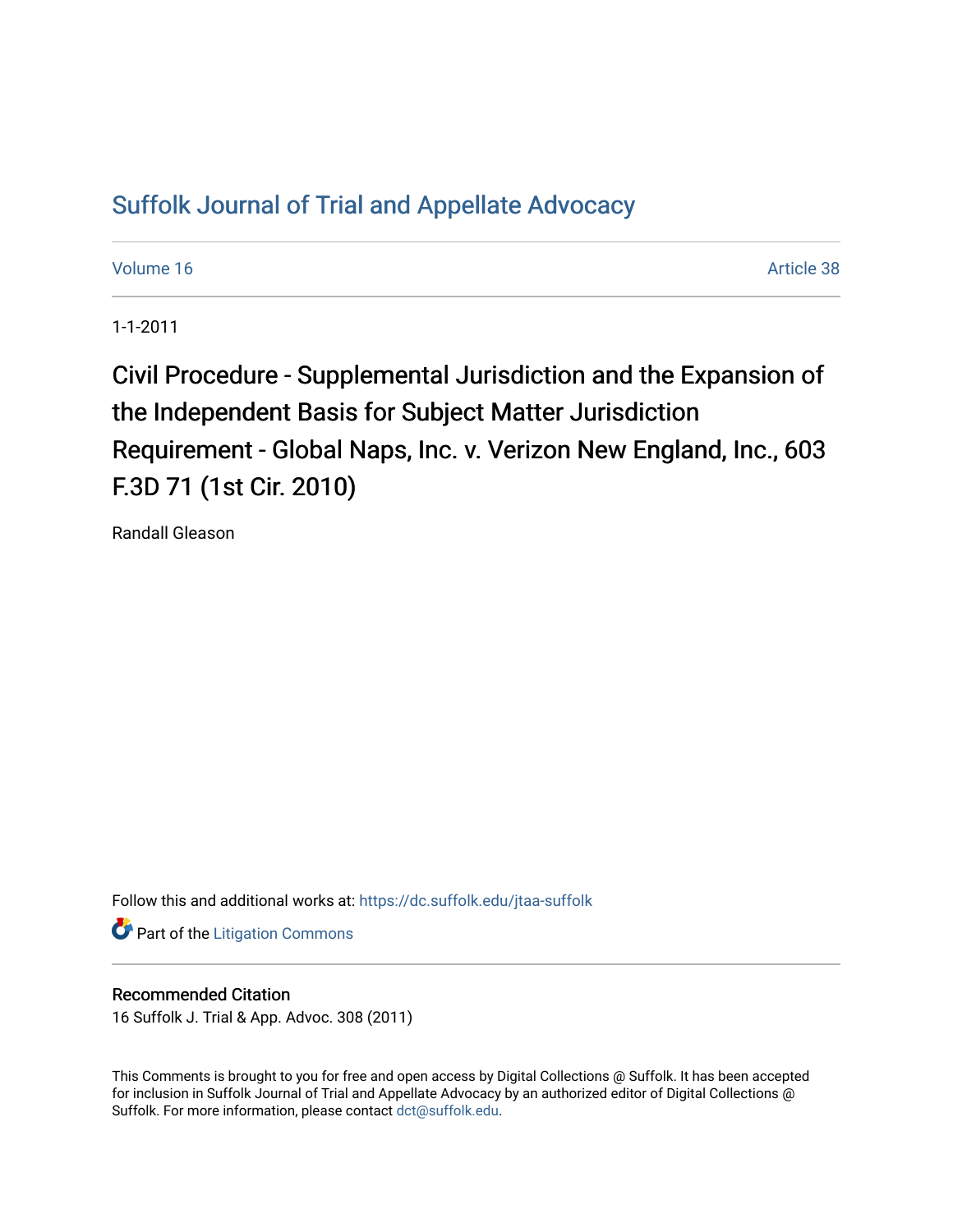## [Suffolk Journal of Trial and Appellate Advocacy](https://dc.suffolk.edu/jtaa-suffolk)

[Volume 16](https://dc.suffolk.edu/jtaa-suffolk/vol16) Article 38

1-1-2011

Civil Procedure - Supplemental Jurisdiction and the Expansion of the Independent Basis for Subject Matter Jurisdiction Requirement - Global Naps, Inc. v. Verizon New England, Inc., 603 F.3D 71 (1st Cir. 2010)

Randall Gleason

Follow this and additional works at: [https://dc.suffolk.edu/jtaa-suffolk](https://dc.suffolk.edu/jtaa-suffolk?utm_source=dc.suffolk.edu%2Fjtaa-suffolk%2Fvol16%2Fiss1%2F38&utm_medium=PDF&utm_campaign=PDFCoverPages) 

**Part of the [Litigation Commons](http://network.bepress.com/hgg/discipline/910?utm_source=dc.suffolk.edu%2Fjtaa-suffolk%2Fvol16%2Fiss1%2F38&utm_medium=PDF&utm_campaign=PDFCoverPages)** 

## Recommended Citation

16 Suffolk J. Trial & App. Advoc. 308 (2011)

This Comments is brought to you for free and open access by Digital Collections @ Suffolk. It has been accepted for inclusion in Suffolk Journal of Trial and Appellate Advocacy by an authorized editor of Digital Collections @ Suffolk. For more information, please contact [dct@suffolk.edu.](mailto:dct@suffolk.edu)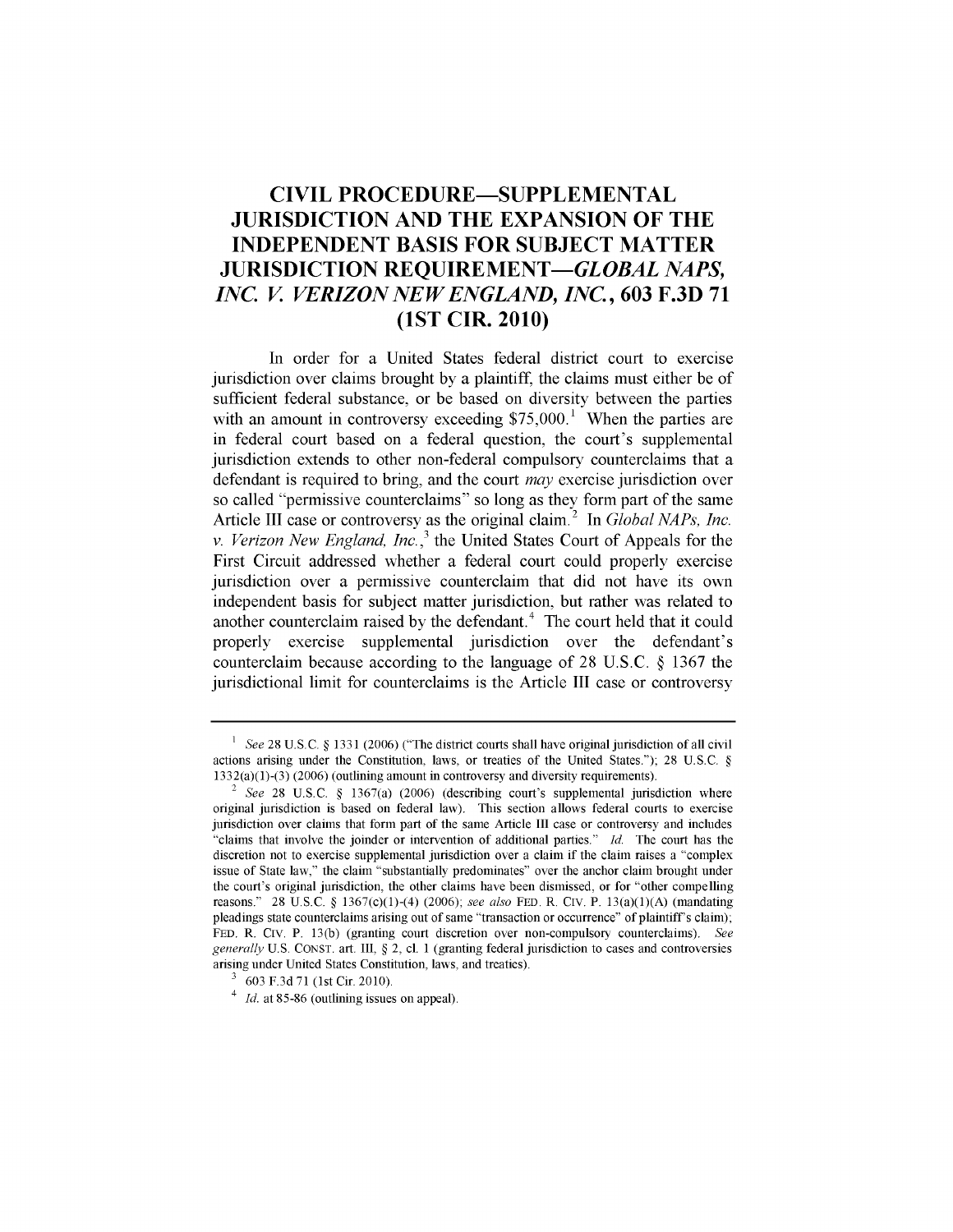## **CIVIL PROCEDURE-SUPPLEMENTAL JURISDICTION AND THE EXPANSION OF THE INDEPENDENT BASIS FOR SUBJECT MATTER JURISDICTION REQUIREMENT-GLOBAL** *NAPS, INC. V VERIZON NEW ENGLAND, INC.,* **603 F.3D 71 (1ST CIR. 2010)**

In order for a United States federal district court to exercise jurisdiction over claims brought **by** a plaintiff, the claims must either be of sufficient federal substance, or be based on diversity between the parties with an amount in controversy exceeding  $$75,000$ <sup>1</sup>. When the parties are in federal court based on a federal question, the court's supplemental jurisdiction extends to other non-federal compulsory counterclaims that a defendant is required to bring, and the court *may* exercise jurisdiction over so called "permissive counterclaims" so long as they form part of the same Article III case or controversy as the original claim.<sup>2</sup> In *Global NAPs, Inc. v. Verizon New England, Inc.,'* the United States Court of Appeals for the First Circuit addressed whether a federal court could properly exercise jurisdiction over a permissive counterclaim that did not have its own independent basis for subject matter jurisdiction, but rather was related to another counterclaim raised by the defendant. $4$  The court held that it could properly exercise supplemental jurisdiction over the defendant's counterclaim because according to the language of 28 U.S.C. **§** 1367 the jurisdictional limit for counterclaims is the Article III case or controversy

**I** *See* 28 U.S.C. § 1331 (2006) ("The district courts shall have original jurisdiction of all civil actions arising under the Constitution, laws, or treaties of the United States."); 28 U.S.C. § 1332(a)(1)-(3) (2006) (outlining amount in controversy and diversity requirements).

<sup>2</sup>*See* 28 U.S.C. § 1367(a) (2006) (describing court's supplemental jurisdiction where original jurisdiction is based on federal law). This section allows federal courts to exercise jurisdiction over claims that form part of the same Article III case or controversy and includes "claims that involve the joinder or intervention of additional parties." *Id.* The court has the discretion not to exercise supplemental jurisdiction over a claim if the claim raises a "complex issue of State law," the claim "substantially predominates" over the anchor claim brought under the court's original jurisdiction, the other claims have been dismissed, or for "other compelling reasons." 28 U.S.C. § 1367(c)(1)-(4) (2006); *see also* FED. R. Civ. P. 13(a)(1)(A) (mandating pleadings state counterclaims arising out of same "transaction or occurrence" of plaintiff's claim); FED. R. CIv. P. 13(b) (granting court discretion over non-compulsory counterclaims). *See generally* U.S. CONST. art. III, § 2, cl. 1 (granting federal jurisdiction to cases and controversies arising under United States Constitution, laws, and treaties).

**<sup>3</sup>** 603 F.3d 71 (1st Cir. 2010).

<sup>4</sup> *Id.* at 85-86 (outlining issues on appeal).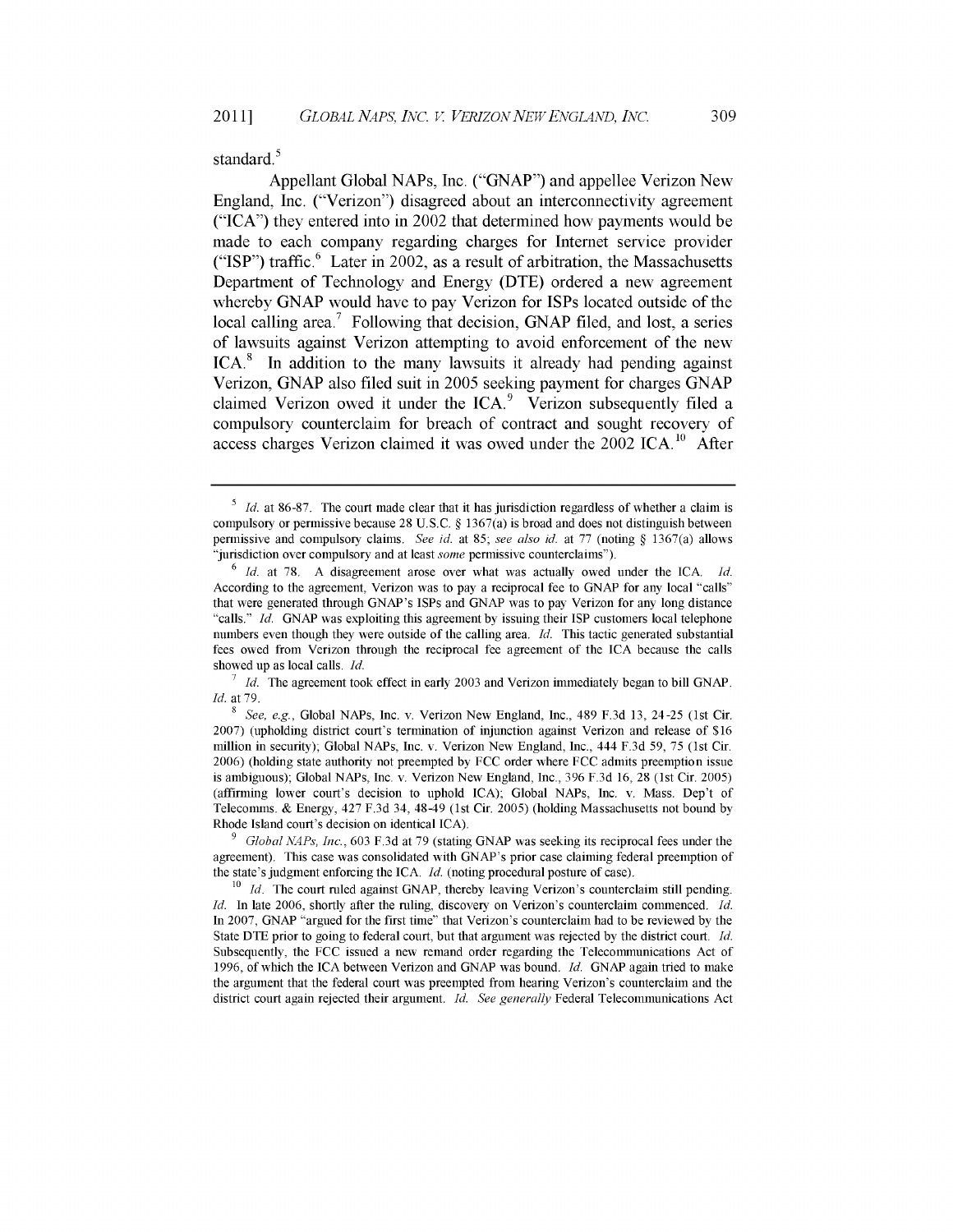standard.<sup>5</sup>

Appellant Global NAPs, Inc. ("GNAP") and appellee Verizon New England, Inc. ("Verizon") disagreed about an interconnectivity agreement ("ICA") they entered into in 2002 that determined how payments would be made to each company regarding charges for Internet service provider ("ISP") traffic. $6$  Later in 2002, as a result of arbitration, the Massachusetts Department of Technology and Energy (DTE) ordered a new agreement whereby GNAP would have to pay Verizon for ISPs located outside of the local calling area.<sup>7</sup> Following that decision, GNAP filed, and lost, a series of lawsuits against Verizon attempting to avoid enforcement of the new  $ICA<sup>8</sup>$  In addition to the many lawsuits it already had pending against Verizon, GNAP also filed suit in 2005 seeking payment for charges GNAP claimed Verizon owed it under the ICA.<sup>9</sup> Verizon subsequently filed a compulsory counterclaim for breach of contract and sought recovery of access charges Verizon claimed it was owed under the  $2002$  ICA.<sup>10</sup> After

<sup>&</sup>lt;sup>5</sup> *Id.* at 86-87. The court made clear that it has jurisdiction regardless of whether a claim is compulsory or permissive because 28 U.S.C. § 1367(a) is broad and does not distinguish between permissive and compulsory claims. *See id.* at **85;** *see also id.* at 77 (noting § 1367(a) allows "jurisdiction over compulsory and at least *some* permissive counterclaims").

<sup>6</sup>*Id.* at 78. A disagreement arose over what was actually owed under the ICA. *Id.* According to the agreement, Verizon was to pay a reciprocal fee to GNAP for any local "calls" that were generated through GNAP's ISPs and GNAP was to pay Verizon for any long distance "calls." *Id.* GNAP was exploiting this agreement by issuing their ISP customers local telephone numbers even though they were outside of the calling area. *Id.* This tactic generated substantial fees owed from Verizon through the reciprocal fee agreement of the ICA because the calls showed up as local calls. *Id.*

**<sup>7</sup>***Id.* The agreement took effect in early 2003 and Verizon immediately began to bill GNAP. *Id.* at 79.

**<sup>8</sup>** *See, e.g.,* Global NAPs, Inc. v. Verizon New England, Inc., 489 F.3d 13, 24-25 (1st Cir. 2007) (upholding district court's termination of injunction against Verizon and release of \$16 million in security); Global NAPs, Inc. v. Verizon New England, Inc., 444 F.3d 59, 75 (1st Cir. **2006)** (holding state authority not preempted by FCC order where **FCC** admits preemption issue is ambiguous); Global NAPs, Inc. v. Verizon New England, Inc., 396 F.3d 16, 28 (1st Cir. 2005) (affirming lower court's decision to uphold ICA); Global NAPs, Inc. v. Mass. Dep't of Telecomms. & Energy, 427 F.3d 34, 48-49 (1st Cir. 2005) (holding Massachusetts not bound by Rhode Island court's decision on identical ICA).

**<sup>9</sup>***Global NAPs, Inc.,* 603 F.3d at 79 (stating GNAP was seeking its reciprocal fees under the agreement). This case was consolidated with GNAP's prior case claiming federal preemption of the state's judgment enforcing the ICA. *Id.* (noting procedural posture of case).

<sup>&</sup>lt;sup>10</sup> *Id.* The court ruled against GNAP, thereby leaving Verizon's counterclaim still pending. *Id.* In late 2006, shortly after the ruling, discovery on Verizon's counterclaim commenced. *Id.* In 2007, GNAP "argued for the first time" that Verizon's counterclaim had to be reviewed by the State DTE prior to going to federal court, but that argument was rejected by the district court. *Id.* Subsequently, the FCC issued a new remand order regarding the Telecommunications Act of 1996, of which the ICA between Verizon and GNAP was bound. *Id.* GNAP again tried to make the argument that the federal court was preempted from hearing Verizon's counterclaim and the district court again rejected their argument. *Id. See generally* Federal Telecommunications Act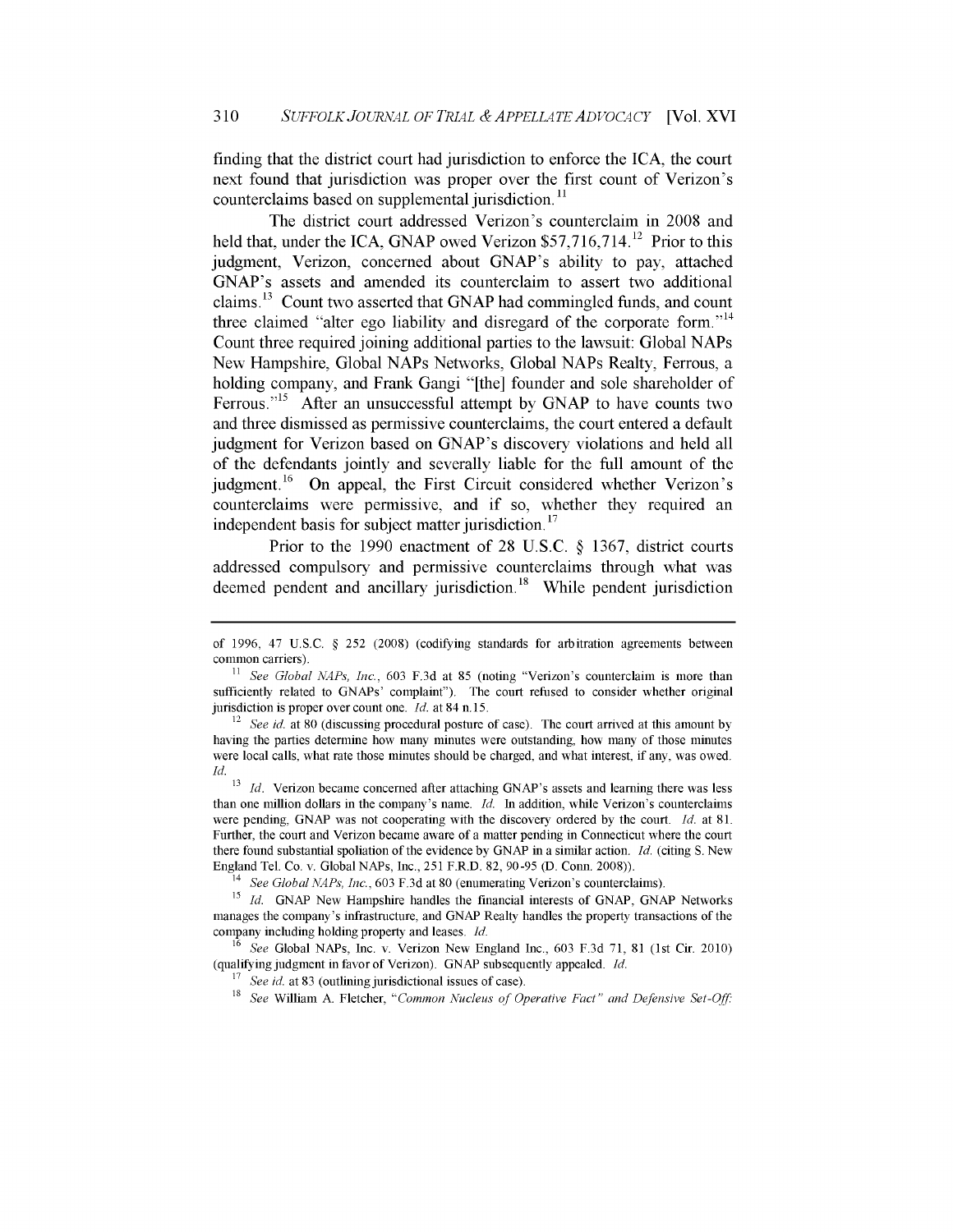finding that the district court had jurisdiction to enforce the ICA, the court next found that jurisdiction was proper over the first count of Verizon's counterclaims based on supplemental jurisdiction. **11**

The district court addressed Verizon's counterclaim in 2008 and held that, under the ICA, GNAP owed Verizon  $$57,716,714$ <sup>12</sup> Prior to this judgment, Verizon, concerned about GNAP's ability to pay, attached GNAP's assets and amended its counterclaim to assert two additional claims.<sup>13</sup> Count two asserted that GNAP had commingled funds, and count three claimed "alter ego liability and disregard of the corporate form."<sup>14</sup> Count three required joining additional parties to the lawsuit: Global NAPs New Hampshire, Global NAPs Networks, Global NAPs Realty, Ferrous, a holding company, and Frank Gangi "[the] founder and sole shareholder of Ferrous."<sup>15</sup> After an unsuccessful attempt by GNAP to have counts two and three dismissed as permissive counterclaims, the court entered a default judgment for Verizon based on GNAP's discovery violations and held all of the defendants jointly and severally liable for the full amount of the judgment. <sup>1</sup>6 On appeal, the First Circuit considered whether Verizon's counterclaims were permissive, and if so, whether they required an independent basis for subject matter jurisdiction.<sup>17</sup>

Prior to the 1990 enactment of 28 U.S.C. **§** 1367, district courts addressed compulsory and permissive counterclaims through what was deemed pendent and ancillary jurisdiction.<sup>18</sup> While pendent jurisdiction

<sup>13</sup> *Id.* Verizon became concerned after attaching GNAP's assets and learning there was less than one million dollars in the company's name. *Id.* In addition, while Verizon's counterclaims were pending, GNAP was not cooperating with the discovery ordered by the court. *Id.* at 81. Further, the court and Verizon became aware of a matter pending in Connecticut where the court there found substantial spoliation of the evidence by GNAP in a similar action. *Id.* (citing S. New England Tel. Co. v. Global NAPs, Inc., 251 F.R.D. 82, 90-95 (D. Conn. 2008)).

of 1996, 47 U.S.C. § 252 (2008) (codifying standards for arbitration agreements between common carriers).

**<sup>11</sup>** *See Global NAPs, Inc.,* 603 F.3d at 85 (noting "Verizon's counterclaim is more than sufficiently related to GNAPs' complaint"). The court refused to consider whether original jurisdiction is proper over count one. *Id.* at 84 n. 15.

<sup>&</sup>lt;sup>12</sup> See id. at 80 (discussing procedural posture of case). The court arrived at this amount by having the parties determine how many minutes were outstanding, how many of those minutes were local calls, what rate those minutes should be charged, and what interest, if any, was owed. *Id.*

<sup>14</sup>*See Global NAPs, Inc.,* 603 F.3d at 80 (enumerating Verizon's counterclaims).

<sup>&</sup>lt;sup>15</sup> *Id.* GNAP New Hampshire handles the financial interests of GNAP, GNAP Networks manages the company's infrastructure, and GNAP Realty handles the property transactions of the company including holding property and leases. *Id.*

<sup>16</sup>*See* Global NAPs, Inc. v. Verizon New England Inc., 603 F.3d 71, 81 (1st Cir. 2010) (qualifying judgment in favor of Verizon). GNAP subsequently appealed. *Id.*

<sup>&</sup>lt;sup>17</sup> See id. at 83 (outlining jurisdictional issues of case).

**<sup>18</sup>** *See* William A. Fletcher, *"Common Nucleus of Operative Fact" and Defensive Set-Off.*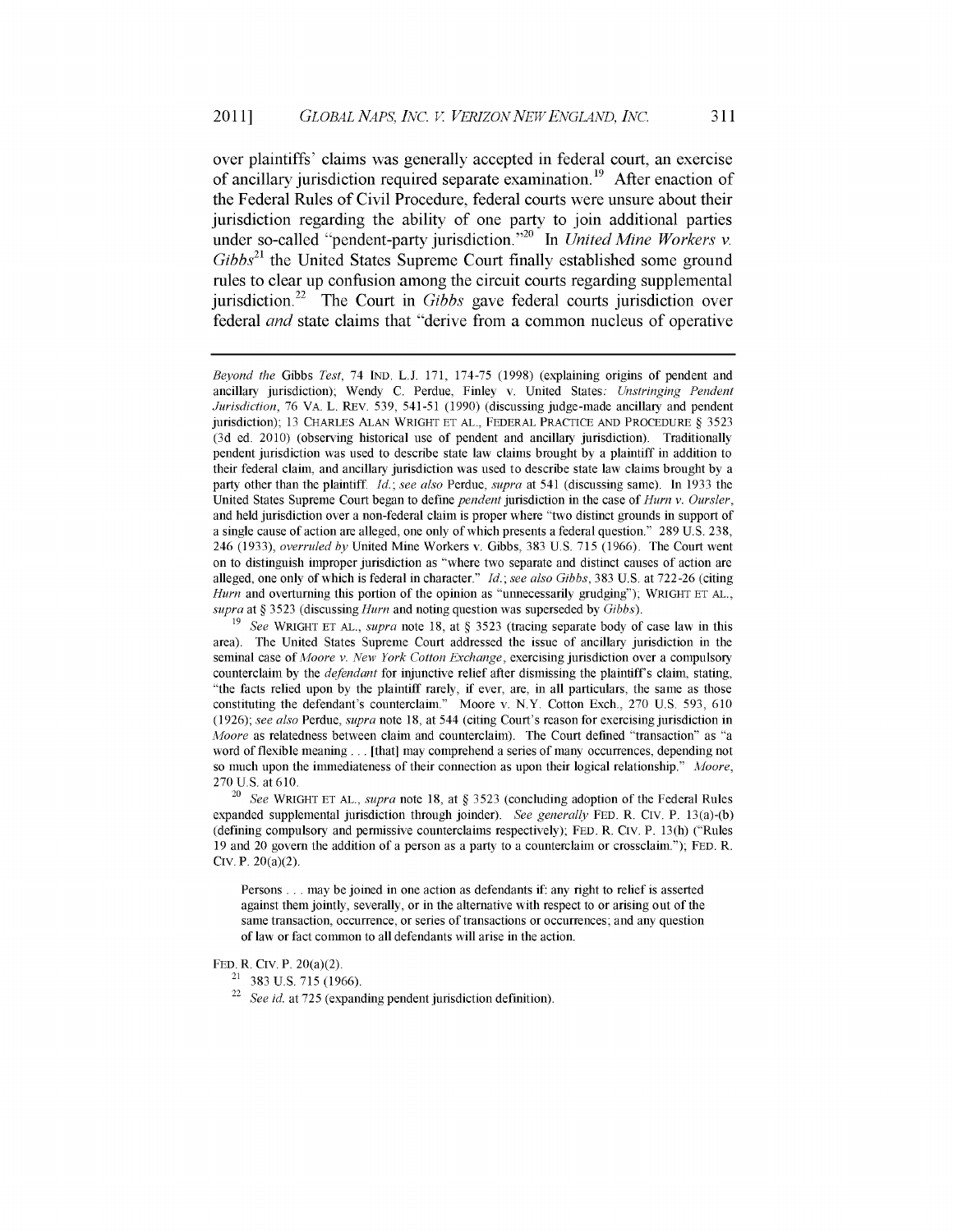over plaintiffs' claims was generally accepted in federal court, an exercise of ancillary jurisdiction required separate examination.<sup>19</sup> After enaction of the Federal Rules of Civil Procedure, federal courts were unsure about their jurisdiction regarding the ability of one party to join additional parties under so-called "pendent-party jurisdiction."<sup>20</sup> In *United Mine Workers v. Gibbs21* the United States Supreme Court finally established some ground rules to clear up confusion among the circuit courts regarding supplemental jurisdiction.22 The Court in *Gibbs* gave federal courts jurisdiction over federal *and* state claims that "derive from a common nucleus of operative

FED. R. CIV. P. 20(a)(2).

*Beyond the* Gibbs *Test,* 74 IND. L.J. 171, 174-75 (1998) (explaining origins of pendent and ancillary jurisdiction); Wendy C. Perdue, Finley v. United States: *Unstringing Pendent Jurisdiction,* 76 VA. L. REV. 539, 541-51 (1990) (discussing judge-made ancillary and pendent jurisdiction); 13 CHARLES ALAN WRIGHT **ET** AL., FEDERAL PRACTICE AND PROCEDURE § 3523 (3d ed. 2010) (observing historical use of pendent and ancillary jurisdiction). Traditionally pendent jurisdiction was used to describe state law claims brought by a plaintiff in addition to their federal claim, and ancillary jurisdiction was used to describe state law claims brought by a party other than the plaintiff. *Id.; see also* Perdue, *supra* at 541 (discussing same). In 1933 the United States Supreme Court began to define *pendent* jurisdiction in the case of *Hum v. Ours/er,* and held jurisdiction over a non-federal claim is proper where "two distinct grounds in support of a single cause of action are alleged, one only of which presents a federal question." 289 U.S. 238, 246 (1933), *overruled by* United Mine Workers v. Gibbs, 383 U.S. 715 (1966). The Court went on to distinguish improper jurisdiction as "where two separate and distinct causes of action are alleged, one only of which is federal in character." *Id.; see also Gibbs,* 383 U.S. at 722-26 (citing *Hurn* and overturning this portion of the opinion as "unnecessarily grudging"); WRIGHT ET AL., *supra* at § 3523 (discussing *Hum* and noting question was superseded by *Gibbs).*

<sup>19</sup>*See* WRIGHT ET AL., *supra* note 18, at § 3523 (tracing separate body of case law in this area). The United States Supreme Court addressed the issue of ancillary jurisdiction in the seminal case of *Afoore v. New York Cotton Exchange,* exercising jurisdiction over a compulsory counterclaim by the *defendant* for injunctive relief after dismissing the plaintiffs claim, stating, "the facts relied upon by the plaintiff rarely, if ever, are, in all particulars, the same as those constituting the defendant's counterclaim." Moore v. N.Y. Cotton Exch., 270 U.S. 593, 610 (1926); *see also* Perdue, *supra* note 18, at 544 (citing Court's reason for exercising jurisdiction in *Afoore* as relatedness between claim and counterclaim). The Court defined "transaction" as "a word of flexible meaning **...** [that] may comprehend a series of many occurrences, depending not so much upon the immediateness of their connection as upon their logical relationship." Moore, 270 U.S. at 610.

<sup>20</sup>*See* WRIGHT ET AL., *supra* note 18, at § 3523 (concluding adoption of the Federal Rules expanded supplemental jurisdiction through joinder). *See generally* FED. R. CIV. P. 13(a)-(b) (defining compulsory and permissive counterclaims respectively); FED. R. CIV. P. 13(h) ("Rules 19 and 20 govern the addition of a person as a party to a counterclaim or crossclaim."); FED. R. CIV. P. 20(a)(2).

Persons ... may be joined in one action as defendants if: any right to relief is asserted against them jointly, severally, or in the alternative with respect to or arising out of the same transaction, occurrence, or series of transactions or occurrences; and any question of law or fact common to all defendants will arise in the action.

 $21$  383 U.S. 715 (1966).

<sup>22</sup> *See id* at 725 (expanding pendent jurisdiction definition).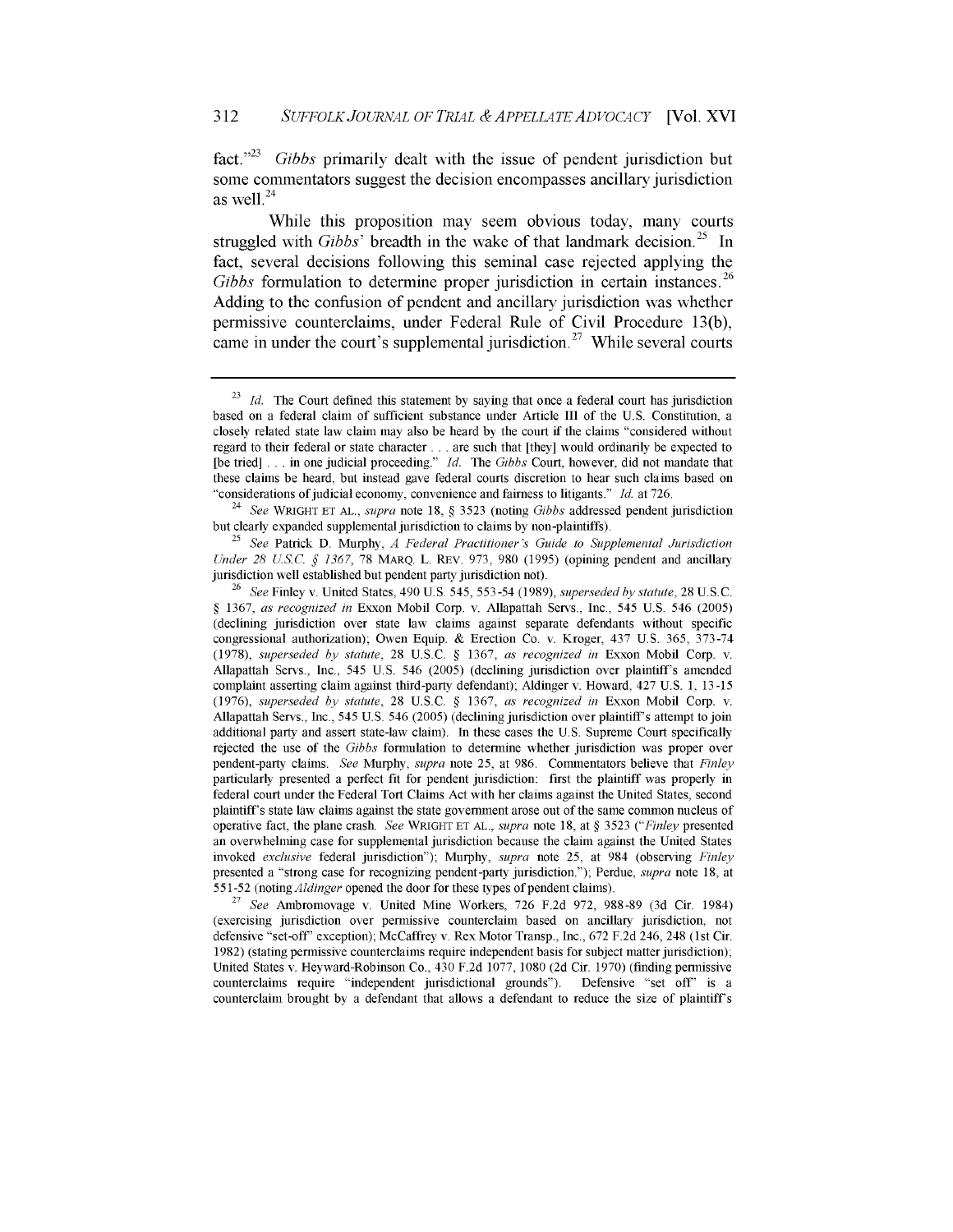fact.<sup>223</sup> Gibbs primarily dealt with the issue of pendent jurisdiction but some commentators suggest the decision encompasses ancillary jurisdiction as well. $^{24}$ 

While this proposition may seem obvious today, many courts struggled with *Gibbs'* breadth in the wake of that landmark decision.<sup>25</sup> In fact, several decisions following this seminal case rejected applying the *Gibbs* formulation to determine proper jurisdiction in certain instances.<sup>26</sup> Adding to the confusion of pendent and ancillary jurisdiction was whether permissive counterclaims, under Federal Rule of Civil Procedure 13(b), came in under the court's supplemental jurisdiction.<sup>27</sup> While several courts

<sup>25</sup>*See* Patrick D. Murphy, *A Federal Practitioner's Guide to Supplemental Jurisdiction Under 28 US.C. § 1367,* 78 MARQ. L. REV. 973, 980 (1995) (opining pendent and ancillary jurisdiction well established but pendent party jurisdiction not).

<sup>27</sup>*See* Ambromovage v. United Mine Workers, 726 F.2d 972, 988-89 (3d Cir. 1984) (exercising jurisdiction over permissive counterclaim based on ancillary jurisdiction, not defensive "set-off' exception); McCaffrey v. Rex Motor Transp., Inc., 672 F.2d 246, 248 (1st Cir. 1982) (stating permissive counterclaims require independent basis for subject matter jurisdiction); United States v. Heyward-Robinson Co., 430 F.2d 1077, 1080 (2d Cir. 1970) (finding permissive counterclaims require "independent jurisdictional grounds"). Defensive "set off' is a counterclaim brought by a defendant that allows a defendant to reduce the size of plaintiffs

<sup>23</sup>*Id.* The Court defined this statement **by** saying that once a federal court has jurisdiction based on a federal claim of sufficient substance under Article III of the U.S. Constitution, a closely related state law claim may also be heard **by** the court if the claims "considered without regard to their federal or state character **...** are such that [they] would ordinarily be expected to [be tried] . . . in one judicial proceeding." *Id.* The *Gibbs* Court, however, did not mandate that these claims be heard, but instead gave federal courts discretion to hear such claims based on "considerations of judicial economy, convenience and fairness to litigants." *Id.* at 726.

<sup>24</sup>*See* WRIGHT **ET** AL., *supra* note 18, § 3523 (noting *Gibbs* addressed pendent jurisdiction but clearly expanded supplemental jurisdiction to claims **by** non-plaintiffs).

**<sup>26</sup>***See* Finley v. United States, 490 U.S. 545, 553-54 (1989), *superseded by statute,* 28 U.S.C. § 1367, *as recognized in* Exxon Mobil Corp. v. Allapattah Servs., Inc., 545 U.S. 546 (2005) (declining jurisdiction over state law claims against separate defendants without specific congressional authorization); Owen Equip. & Erection Co. v. Kroger, 437 U.S. 365, 373-74 (1978), *superseded by statute,* 28 U.S.C. § 1367, *as recognized in* Exxon Mobil Corp. v. Allapattah Servs., Inc., 545 U.S. 546 (2005) (declining jurisdiction over plaintiff's amended complaint asserting claim against third-party defendant); Aldinger v. Howard, 427 U.S. 1, 13 -15 (1976), *superseded by statute,* 28 U.S.C. § 1367, *as recognized in* Exxon Mobil Corp. v. Allapattah Servs., Inc., 545 U.S. 546 (2005) (declining jurisdiction over plaintiff's attempt to join additional party and assert state-law claim). In these cases the U.S. Supreme Court specifically rejected the use of the *Gibbs* formulation to determine whether jurisdiction was proper over pendent-party claims. *See* Murphy, *supra* note 25, at 986. Commentators believe that *Finley* particularly presented a perfect fit for pendent jurisdiction: first the plaintiff was properly in federal court under the Federal Tort Claims Act with her claims against the United States, second plaintiff's state law claims against the state government arose out of the same common nucleus of operative fact, the plane crash. *See* WRIGHT **ET** AL., *supra* note 18, at § 3523 *("Finley* presented an overwhelming case for supplemental jurisdiction because the claim against the United States invoked *exclusive* federal jurisdiction"); Murphy, *supra* note 25, at 984 (observing *Finley* presented a "strong case for recognizing pendent-party jurisdiction."); Perdue, *supra* note 18, at 551-52 *(notingAldinger* opened the door for these types of pendent claims).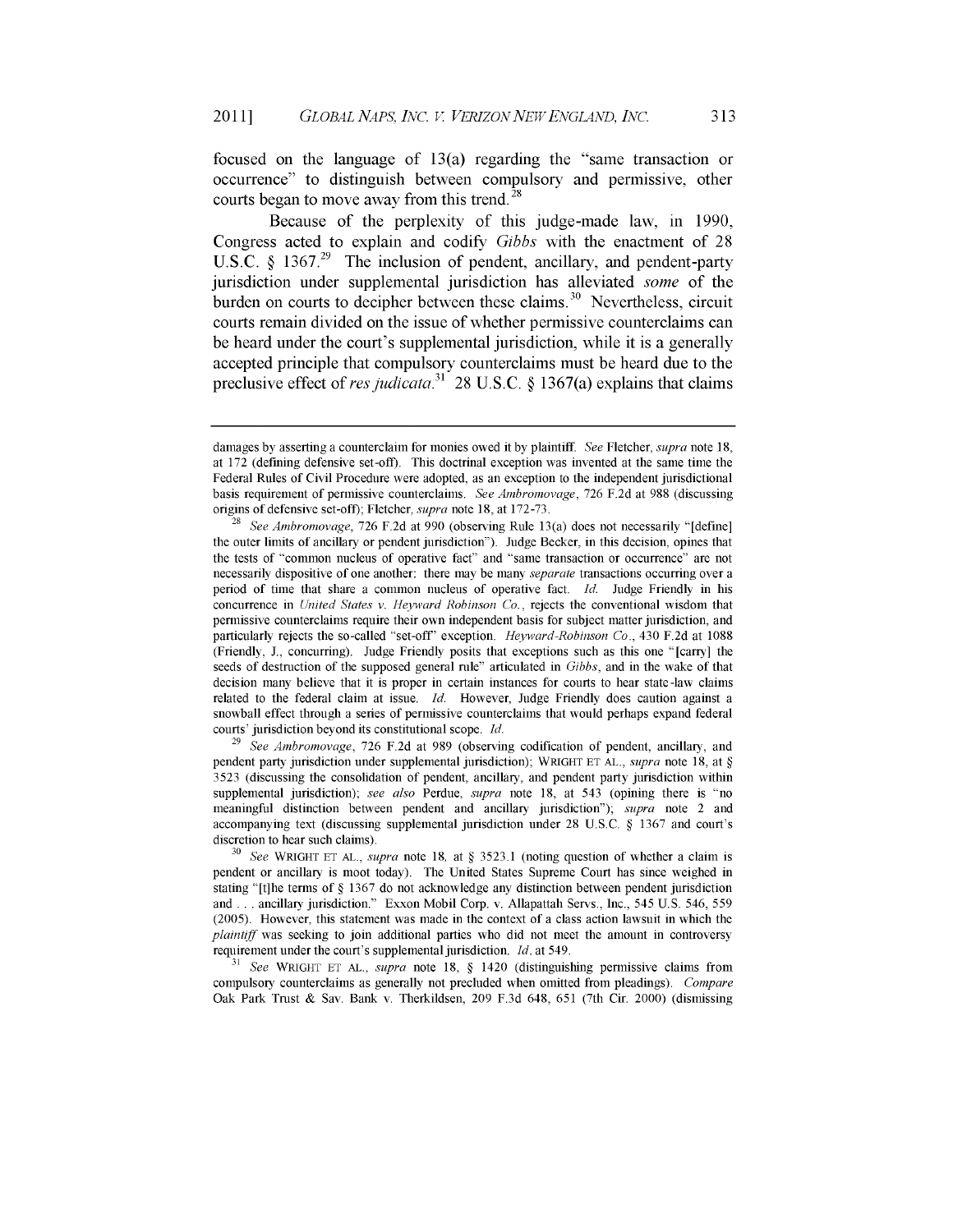focused on the language of 13(a) regarding the "same transaction or occurrence" to distinguish between compulsory and permissive, other courts began to move away from this trend. **28**

Because of the perplexity of this judge-made law, in 1990, Congress acted to explain and codify *Gibbs* with the enactment of 28 U.S.C. § 1367.<sup>29</sup> The inclusion of pendent, ancillary, and pendent-party jurisdiction under supplemental jurisdiction has alleviated *some* of the burden on courts to decipher between these claims.<sup>30</sup> Nevertheless, circuit courts remain divided on the issue of whether permissive counterclaims can be heard under the court's supplemental jurisdiction, while it is a generally accepted principle that compulsory counterclaims must be heard due to the preclusive effect of res judicata.<sup>31</sup> 28 U.S.C. § 1367(a) explains that claims

**<sup>31</sup>***See* WRIGHT **ET AL.,** *supra* note 18, § 1420 (distinguishing permissive claims from compulsory counterclaims as generally not precluded when omitted from pleadings). *Compare* Oak Park Trust & Say. Bank v. Therkildsen, 209 F.3d 648, 651 (7th Cir. 2000) (dismissing

damages by asserting a counterclaim for monies owed it by plaintiff. *See* Fletcher, *supra* note 18, at 172 (defining defensive set-off). This doctrinal exception was invented at the same time the Federal Rules of Civil Procedure were adopted, as an exception to the independent jurisdictional basis requirement of permissive counterclaims. *See Ambromovage,* 726 F.2d at 988 (discussing origins of defensive set-off); Fletcher, *supra* note 18, at 172-73.

*<sup>28</sup>See Ambromovage,* 726 F.2d at 990 (observing Rule 13(a) does not necessarily "[define] the outer limits of ancillary or pendent jurisdiction"). Judge Becker, in this decision, opines that the tests of "common nucleus of operative fact" and "same transaction or occurrence" are not necessarily dispositive of one another: there may be many *separate* transactions occurring over a period of time that share a common nucleus of operative fact. *Id.* Judge Friendly in his concurrence in *United States v. Heyward Robinson Co.,* rejects the conventional wisdom that permissive counterclaims require their own independent basis for subject matter jurisdiction, and particularly rejects the so-called "set-off' exception. *Heyward-Robinson Co.,* 430 F.2d at 1088 (Friendly, J., concurring). Judge Friendly posits that exceptions such as this one "[carry] the seeds of destruction of the supposed general rule" articulated in *Gibbs,* and in the wake of that decision many believe that it is proper in certain instances for courts to hear state -law claims related to the federal claim at issue. *Id.* However, Judge Friendly does caution against a snowball effect through a series of permissive counterclaims that would perhaps expand federal courts' jurisdiction beyond its constitutional scope. *Id.*

**<sup>29</sup>***See Ambromovage,* 726 F.2d at 989 (observing codification of pendent, ancillary, and pendent party jurisdiction under supplemental jurisdiction); WRIGHT **ET AL.,** *supra* note **18,** at § 3523 (discussing the consolidation of pendent, ancillary, and pendent party jurisdiction within supplemental jurisdiction); *see also* Perdue, *supra* note 18, at 543 (opining there is "no meaningful distinction between pendent and ancillary jurisdiction"); *supra* note 2 and accompanying text (discussing supplemental jurisdiction under 28 U.S.C. § 1367 and court's discretion to hear such claims).

**<sup>30</sup>***See* WRIGHT **ET AL.,** *supra* note 18, at § 3523.1 (noting question of whether a claim is pendent or ancillary is moot today). The United States Supreme Court has since weighed in stating "[t]he terms of § 1367 do not acknowledge any distinction between pendent jurisdiction and ... ancillary jurisdiction." Exxon Mobil Corp. v. Allapattah Servs., Inc., 545 U.S. 546, 559 (2005). However, this statement was made in the context of a class action lawsuit in which the *plaintiff* was seeking to join additional parties who did not meet the amount in controversy requirement under the court's supplemental jurisdiction. *Id.* at 549.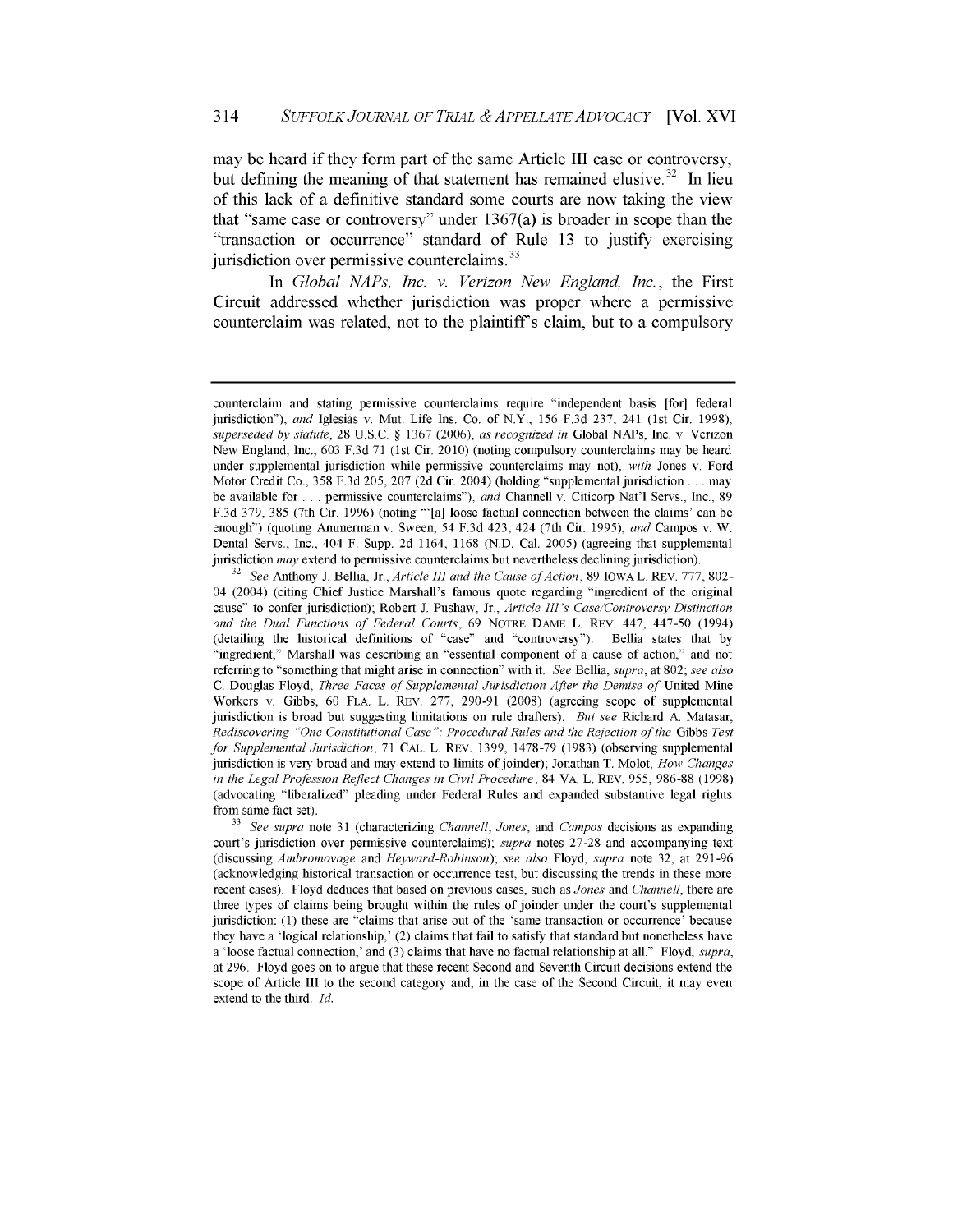may be heard if they form part of the same Article III case or controversy, but defining the meaning of that statement has remained elusive.<sup>32</sup> In lieu of this lack of a definitive standard some courts are now taking the view that "same case or controversy" under 1367(a) is broader in scope than the "transaction or occurrence" standard of Rule 13 to justify exercising jurisdiction over permissive counterclaims.<sup>33</sup>

In *Global NAPs, Inc. v. Verizon New England, Inc.,* the First Circuit addressed whether jurisdiction was proper where a permissive counterclaim was related, not to the plaintiff's claim, but to a compulsory

counterclaim and stating permissive counterclaims require "independent basis [for] federal jurisdiction"), *and* Iglesias v. Mut. Life Ins. Co. of N.Y., 156 F.3d 237, 241 (1st Cir. 1998), *superseded by statute,* 28 U.S.C. § 1367 (2006), *as recognized in* Global NAPs, Inc. v. Verizon New England, Inc., 603 F.3d 71 (1st Cir. 2010) (noting compulsory counterclaims may be heard under supplemental jurisdiction while permissive counterclaims may not), *with* Jones v. Ford Motor Credit Co., 358 F.3d 205, 207 (2d Cir. 2004) (holding "supplemental jurisdiction **...** may be available for **...** permissive counterclaims"), *and* Channell v. Citicorp Nat'l Servs., Inc., 89 F.3d 379, 385 (7th Cir. 1996) (noting "'[a] loose factual connection between the claims' can be enough") (quoting Ammerman v. Sween, 54 F.3d 423, 424 (7th Cir. 1995), *and* Campos v. W. Dental Servs., Inc., 404 F. Supp. 2d 1164, 1168 (N.D. Cal. 2005) (agreeing that supplemental jurisdiction *may* extend to permissive counterclaims but nevertheless declining jurisdiction).

<sup>&</sup>lt;sup>32</sup> See Anthony J. Bellia, Jr., *Article III and the Cause of Action*, 89 IOWA L. REV. 777, 802-04 (2004) (citing Chief Justice Marshall's famous quote regarding "ingredient of the original cause" to confer jurisdiction); Robert J. Pushaw, Jr., *Article III's Case/Controversy Distinction and the Dual Functions of Federal Courts,* 69 NOTRE DAME L. REV. 447, 447-50 (1994) (detailing the historical definitions of "case" and "controversy"). Bellia states that by "ingredient," Marshall was describing an "essential component of a cause of action," and not referring to "something that might arise in connection" with it. *See* Bellia, *supra,* at 802; *see also* C. Douglas Floyd, *Three Faces of Supplemental Jurisdiction After the Demise of* United Mine Workers v. Gibbs, 60 FLA. L. REV. 277, 290-91 (2008) (agreeing scope of supplemental jurisdiction is broad but suggesting limitations on rule drafters). *But see* Richard A. Matasar, *Rediscovering "One Constitutional Case ": Procedural Rules and the Rejection of the* Gibbs *Test for Supplemental Jurisdiction,* 71 CAL. L. REV. 1399, 1478-79 (1983) (observing supplemental jurisdiction is very broad and may extend to limits of joinder); Jonathan T. Molot, *How Changes in the Legal Profession Reflect Changes in Civil Procedure,* 84 VA. L. REV. 955, 986-88 (1998) (advocating "liberalized" pleading under Federal Rules and expanded substantive legal rights from same fact set).

*<sup>33</sup>See supra* note 31 (characterizing *Channell, Jones,* and *Campos* decisions as expanding court's jurisdiction over permissive counterclaims); *supra* notes 27-28 and accompanying text (discussing *Ambromovage* and *Heyward-Robinson); see also* Floyd, *supra* note 32, at 291-96 (acknowledging historical transaction or occurrence test, but discussing the trends in these more recent cases). Floyd deduces that based on previous cases, such as *Jones* and *Channell,* there are three types of claims being brought within the rules of joinder under the court's supplemental jurisdiction: (1) these are "claims that arise out of the 'same transaction or occurrence' because they have a 'logical relationship,' (2) claims that fail to satisfy that standard but nonetheless have a 'loose factual connection,' and (3) claims that have no factual relationship at all." Floyd, *supra,* at 296. Floyd goes on to argue that these recent Second and Seventh Circuit decisions extend the scope of Article III to the second category and, in the case of the Second Circuit, it may even extend to the third. *Id.*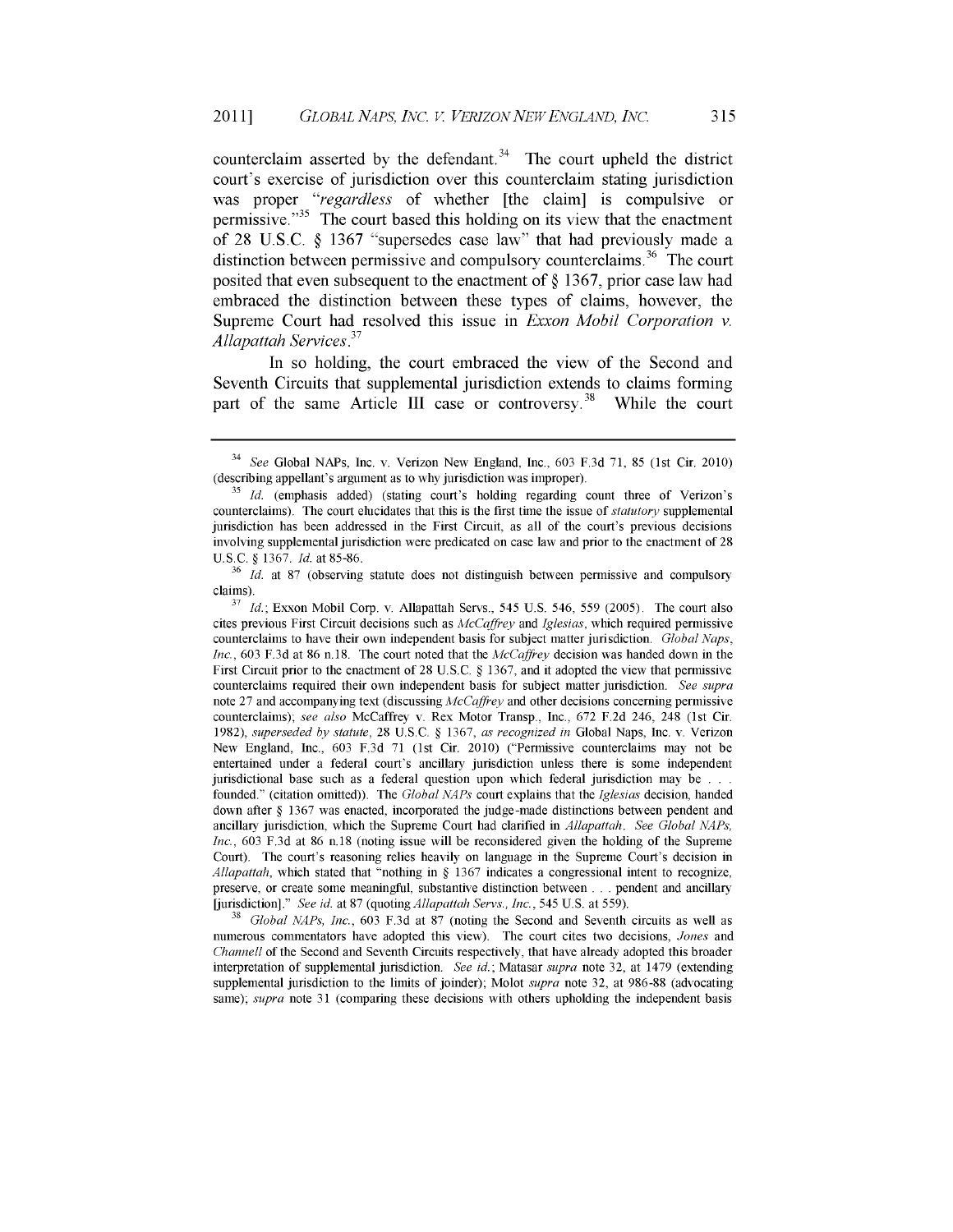counterclaim asserted by the defendant.<sup>34</sup> The court upheld the district court's exercise of jurisdiction over this counterclaim stating jurisdiction was proper *"regardless* of whether [the claim] is compulsive or permissive."<sup>35</sup> The court based this holding on its view that the enactment of 28 U.S.C. **§** 1367 "supersedes case law" that had previously made a distinction between permissive and compulsory counterclaims.<sup>36</sup> The court posited that even subsequent to the enactment of **§** 1367, prior case law had embraced the distinction between these types of claims, however, the Supreme Court had resolved this issue in *Exxon Mobil Corporation* v. *Allapattah Services.<sup>3</sup>*

In so holding, the court embraced the view of the Second and Seventh Circuits that supplemental jurisdiction extends to claims forming part of the same Article III case or controversy.<sup>38</sup> While the court

**<sup>37</sup>***Id.;* Exxon Mobil Corp. v. Allapattah Servs., 545 U.S. 546, 559 (2005). The court also cites previous First Circuit decisions such as *AfcCaffrey* and *Iglesias,* which required permissive counterclaims to have their own independent basis for subject matter jurisdiction. *Global Naps, Inc.,* 603 F.3d at 86 n.18. The court noted that the *AfcCaffrey* decision was handed down in the First Circuit prior to the enactment of 28 U.S.C. § 1367, and it adopted the view that permissive counterclaims required their own independent basis for subject matter jurisdiction. *See supra* note 27 and accompanying text (discussing *AfcCaffrey* and other decisions concerning permissive counterclaims); *see also* McCaffrey v. Rex Motor Transp., Inc., 672 F.2d 246, 248 (1st Cir. 1982), *superseded by statute,* 28 U.S.C. § 1367, *as recognized in* Global Naps, Inc. v. Verizon New England, Inc., 603 F.3d 71 (1st Cir. 2010) ("Permissive counterclaims may not be entertained under a federal court's ancillary jurisdiction unless there is some independent jurisdictional base such as a federal question upon which federal jurisdiction may be **. . .** founded." (citation omitted)). The *Global NAPs* court explains that the *Iglesias* decision, handed down after § 1367 was enacted, incorporated the judge-made distinctions between pendent and ancillary jurisdiction, which the Supreme Court had clarified in *Allapattah. See Global NAPs, Inc.,* 603 F.3d at 86 n.18 (noting issue will be reconsidered given the holding of the Supreme Court). The court's reasoning relies heavily on language in the Supreme Court's decision in *Allapattah,* which stated that "nothing in § 1367 indicates a congressional intent to recognize, preserve, or create some meaningful, substantive distinction between **. . .** pendent and ancillary Uurisdiction]." *See id.* at 87 *(quoting Allapattah Servs., Inc.,* 545 U.S. at 559).

<sup>38</sup>*Global NAPs, Inc.,* 603 F.3d at 87 (noting the Second and Seventh circuits as well as numerous commentators have adopted this view). The court cites two decisions, *Jones* and *Channell* of the Second and Seventh Circuits respectively, that have already adopted this broader interpretation of supplemental jurisdiction. *See id.;* Matasar *supra* note 32, at 1479 (extending supplemental jurisdiction to the limits of joinder); Molot *supra* note 32, at 986-88 (advocating same); *supra* note 31 (comparing these decisions with others upholding the independent basis

<sup>34</sup>*See* Global NAPs, Inc. v. Verizon New England, Inc., 603 F.3d 71, 85 (1st Cir. 2010) (describing appellant's argument as to why jurisdiction was improper).

**<sup>35</sup>***Id.* (emphasis added) (stating court's holding regarding count three of Verizon's counterclaims). The court elucidates that this is the first time the issue of *statutory* supplemental jurisdiction has been addressed in the First Circuit, as all of the court's previous decisions involving supplemental jurisdiction were predicated on case law and prior to the enactment of 28 U.S.C. § 1367. *Id.* at 85-86.

<sup>&</sup>lt;sup>36</sup> *Id.* at 87 (observing statute does not distinguish between permissive and compulsory claims).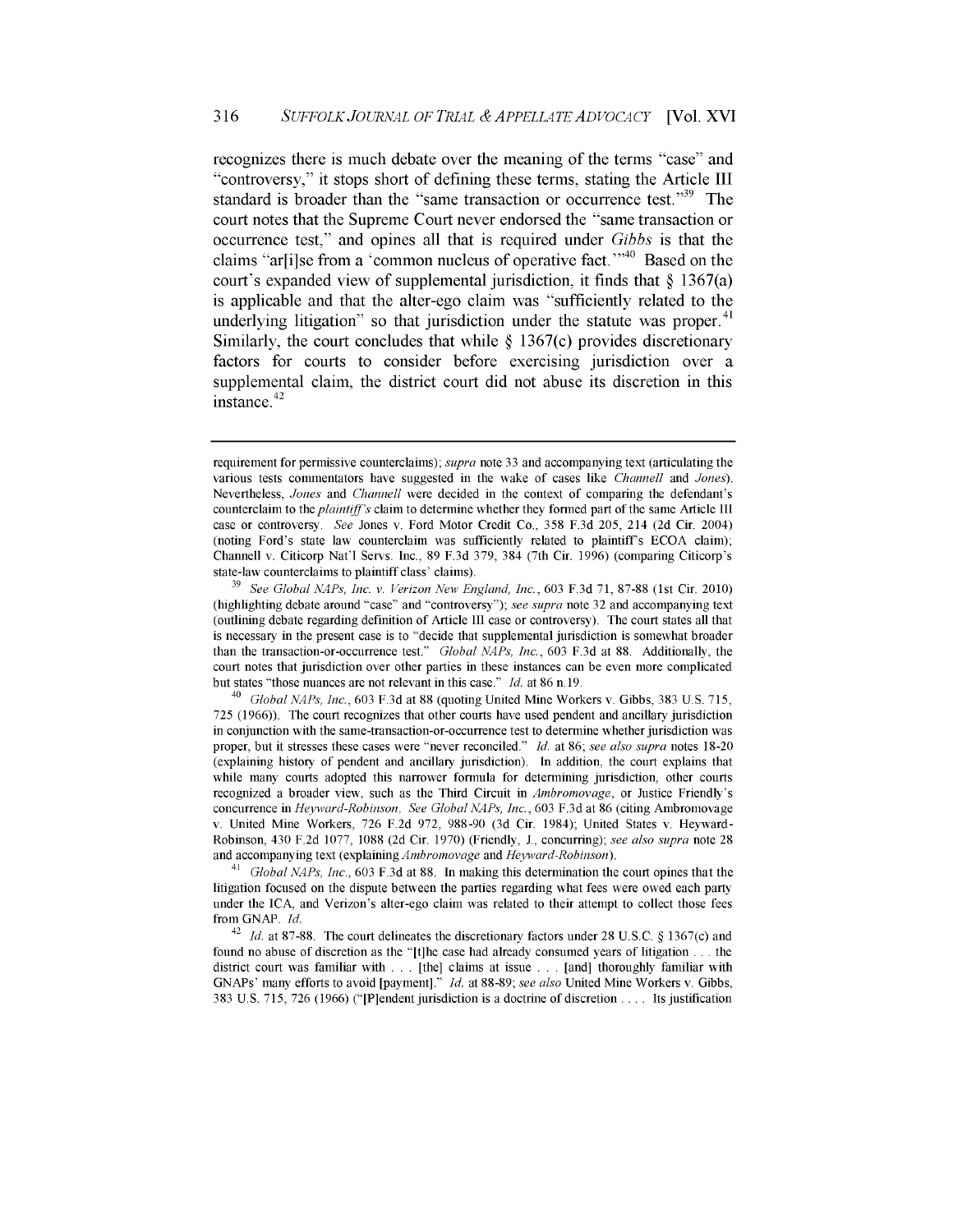recognizes there is much debate over the meaning of the terms "case" and "controversy," it stops short of defining these terms, stating the Article III standard is broader than the "same transaction or occurrence test."<sup>39</sup> The court notes that the Supreme Court never endorsed the "same transaction or occurrence test," and opines all that is required under *Gibbs* is that the claims "ar[i]se from a 'common nucleus of operative fact."<sup>40</sup> Based on the court's expanded view of supplemental jurisdiction, it finds that **§** 1367(a) is applicable and that the alter-ego claim was "sufficiently related to the underlying litigation" so that jurisdiction under the statute was proper. $41$ Similarly, the court concludes that while **§** 1367(c) provides discretionary factors for courts to consider before exercising jurisdiction over a supplemental claim, the district court **did** not abuse its discretion in this instance. $42$ 

requirement for permissive counterclaims); *supra* note 33 and accompanying text (articulating the various tests commentators have suggested in the wake of cases like *Channell* and *Jones).* Nevertheless, *Jones* and *Channell* were decided in the context of comparing the defendant's counterclaim to the *plaintiff's* claim to determine whether they formed part of the same Article III case or controversy. *See* Jones v. Ford Motor Credit Co., 358 F.3d 205, 214 (2d Cir. 2004) (noting Ford's state law counterclaim was sufficiently related to plaintiff's ECOA claim); Channell v. Citicorp Nat'l Servs. Inc., 89 F.3d 379, 384 (7th Cir. 1996) (comparing Citicorp's state-law counterclaims to plaintiff class' claims).

**<sup>39</sup>***See Global NAPs, Inc. v. Verizon New England, Inc.,* 603 F.3d 71, 87-88 (1st Cir. 2010) (highlighting debate around "case" and "controversy"); *see supra* note 32 and accompanying text (outlining debate regarding definition of Article III case or controversy). The court states all that is necessary in the present case is to "decide that supplemental jurisdiction is somewhat broader than the transaction-or-occurrence test." *Global NAPs, Inc.,* 603 F.3d at 88. Additionally, the court notes that jurisdiction over other parties in these instances can be even more complicated but states "those nuances are not relevant in this case." *Id.* at 86 n. 19.

<sup>40</sup>*Global NAPs, Inc.,* 603 F.3d at 88 (quoting United Mine Workers v. Gibbs, 383 U.S. 715, 725 (1966)). The court recognizes that other courts have used pendent and ancillary jurisdiction in conjunction with the same-transaction-or-occurrence test to determine whether jurisdiction was proper, but it stresses these cases were "never reconciled." *Id.* at **86;** *see also supra* notes 18-20 (explaining history of pendent and ancillary jurisdiction). In addition, the court explains that while many courts adopted this narrower formula for determining jurisdiction, other courts recognized a broader view, such as the Third Circuit in *Ambromovage,* or Justice Friendly's concurrence in *Heyward-Robinson. See Global NAPs, Inc.,* 603 F.3d at 86 (citing Ambromovage v. United Mine Workers, 726 F.2d 972, 988-90 (3d Cir. 1984); United States v. Heyward-Robinson, 430 F.2d 1077, 1088 (2d Cir. 1970) (Friendly, J., concurring); *see also supra* note 28 and accompanying text (explaining *Ambromovage* and *Heyward-Robinson).*

*<sup>41</sup>Global NAPs, Inc.,* 603 F.3d at 88. In making this determination the court opines that the litigation focused on the dispute between the parties regarding what fees were owed each party under the ICA, and Verizon's alter-ego claim was related to their attempt to collect those fees from GNAP. *Id.*

<sup>&</sup>lt;sup>42</sup> *Id.* at 87-88. The court delineates the discretionary factors under 28 U.S.C. § 1367(c) and found no abuse of discretion as the "[t]he case had already consumed years of litigation **...** the district court was familiar with . . . [the] claims at issue . . . [and] thoroughly familiar with GNAPs' many efforts to avoid [payment] ." *Id.* at 88-89; *see also* United Mine Workers v. Gibbs, 383 U.S. 715, 726 (1966) ("[P]endent jurisdiction is a doctrine of discretion **....** Its justification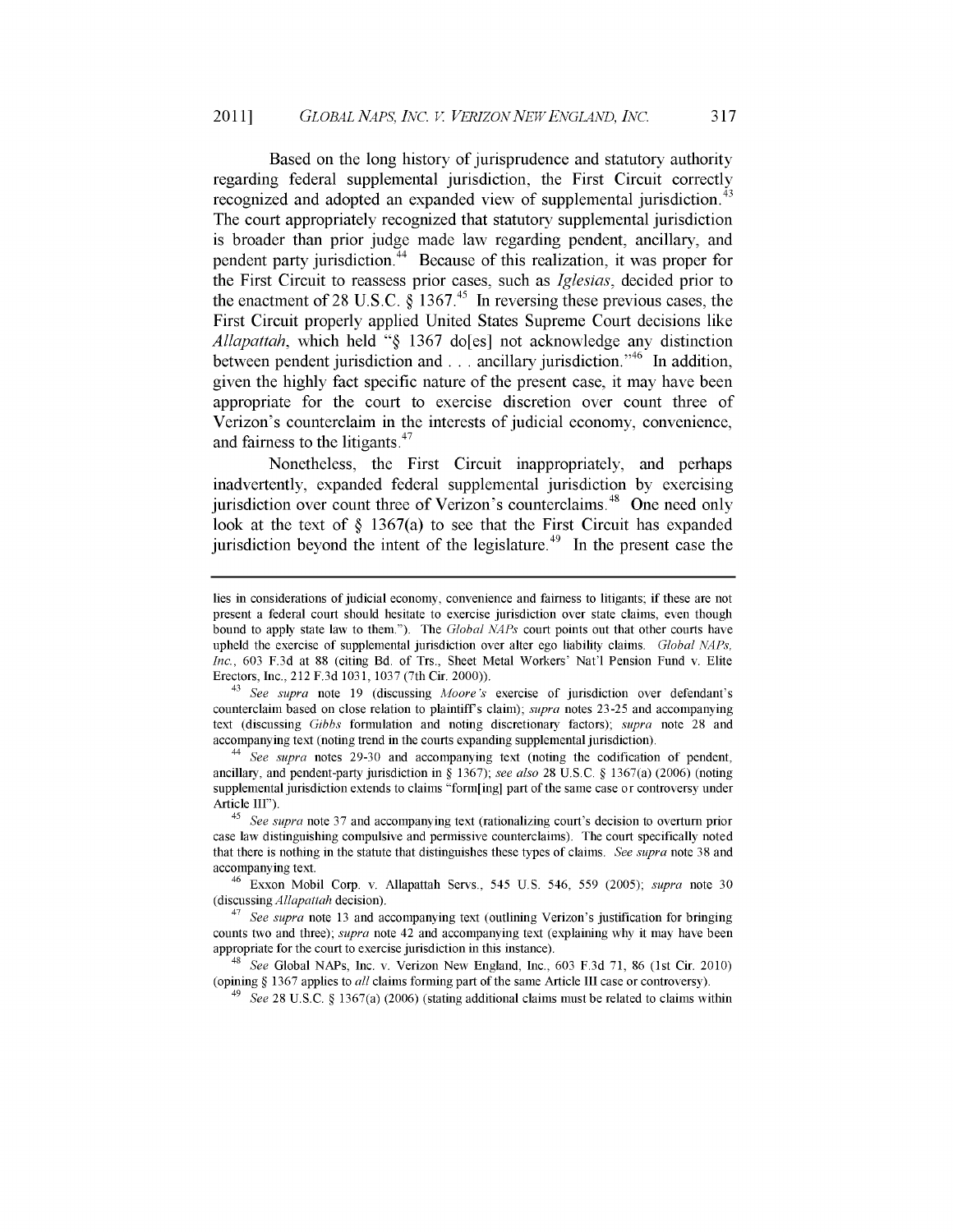317

Based on the long history of jurisprudence and statutory authority regarding federal supplemental jurisdiction, the First Circuit correctly recognized and adopted an expanded view of supplemental jurisdiction.<sup>43</sup> The court appropriately recognized that statutory supplemental jurisdiction is broader than prior judge made law regarding pendent, ancillary, and pendent party jurisdiction.<sup>44</sup> Because of this realization, it was proper for the First Circuit to reassess prior cases, such as *Iglesias,* decided prior to the enactment of 28 U.S.C.  $\S$  1367.<sup>45</sup> In reversing these previous cases, the First Circuit properly applied United States Supreme Court decisions like *Allapattah,* which held **"§ 1367** do[es] not acknowledge any distinction between pendent jurisdiction and **...** ancillary jurisdiction.<sup>546</sup> In addition, given the **highly** fact specific nature of the present case, it may have been appropriate for the court to exercise discretion over count three of Verizon's counterclaim in the interests of judicial economy, convenience, and fairness to the litigants.<sup>47</sup>

Nonetheless, the First Circuit inappropriately, and perhaps inadvertently, expanded federal supplemental jurisdiction **by** exercising jurisdiction over count three of Verizon's counterclaims.<sup>48</sup> One need only look at the text of **§** 1367(a) to see that the First Circuit has expanded jurisdiction beyond the intent of the legislature.<sup> $49$ </sup> In the present case the

<sup>49</sup>*See* 28 U.S.C. § 1367(a) (2006) (stating additional claims must be related to claims within

lies in considerations of judicial economy, convenience and fairness to litigants; if these are not present a federal court should hesitate to exercise jurisdiction over state claims, even though bound to apply state law to them."). The *Global NAPs* court points out that other courts have upheld the exercise of supplemental jurisdiction over alter ego liability claims. *Global NAPs, Inc.,* 603 F.3d at 88 (citing Bd. of Trs., Sheet Metal Workers' Nat'l Pension Fund v. Elite Erectors, Inc., 212 F.3d 1031, 1037 (7th Cir. 2000)).

<sup>43</sup>*See supra* note 19 (discussing *Afoore's* exercise of jurisdiction over defendant's counterclaim based on close relation to plaintiffs claim); *supra* notes 23-25 and accompanying text (discussing *Gibbs* formulation and noting discretionary factors); *supra* note 28 and accompanying text (noting trend in the courts expanding supplemental jurisdiction).

*<sup>44</sup>See supra* notes 29-30 and accompanying text (noting the codification of pendent, ancillary, and pendent-party jurisdiction in § 1367); *see also* 28 U.S.C. § 1367(a) (2006) (noting supplemental jurisdiction extends to claims "form[ing] part of the same case or controversy under Article III").

*<sup>45</sup>See supra* note 37 and accompanying text (rationalizing court's decision to overturn prior case law distinguishing compulsive and permissive counterclaims). The court specifically noted that there is nothing in the statute that distinguishes these types of claims. *See supra* note 38 and accompanying text.

<sup>46</sup>Exxon Mobil Corp. v. Allapattah Servs., 545 U.S. 546, 559 (2005); *supra* note 30 (discussing *Allapattah* decision).

*<sup>47</sup>See supra* note 13 and accompanying text (outlining Verizon's justification for bringing counts two and three); *supra* note 42 and accompanying text (explaining why it may have been appropriate for the court to exercise jurisdiction in this instance).

<sup>48</sup>*See* Global NAPs, Inc. v. Verizon New England, Inc., 603 F.3d 71, 86 (1st Cir. 2010) (opining § 1367 applies to *all* claims forming part of the same Article III case or controversy).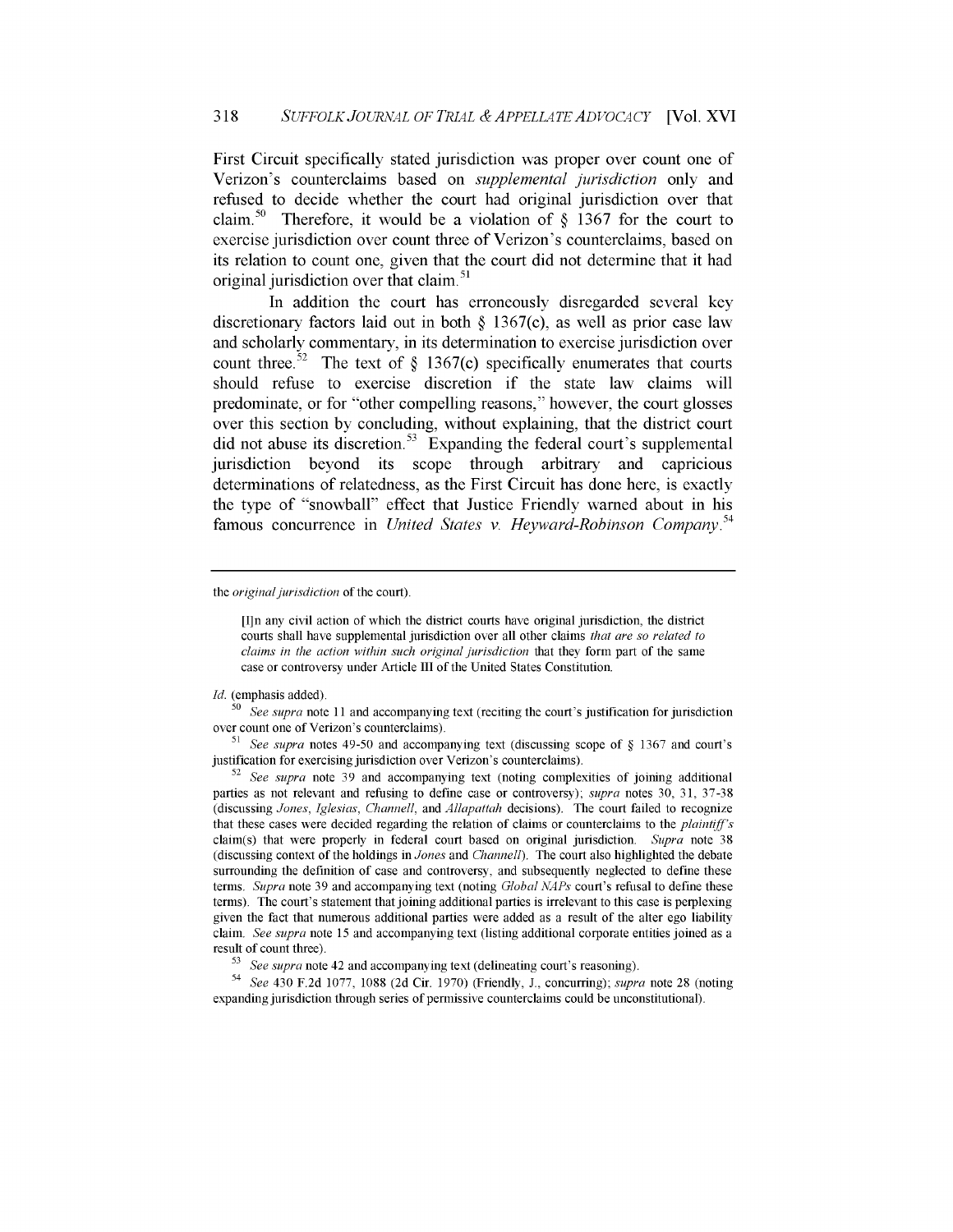First Circuit specifically stated jurisdiction was proper over count one of Verizon's counterclaims based on *supplemental jurisdiction* only and refused to decide whether the court had original jurisdiction over that claim.<sup>50</sup> Therefore, it would be a violation of  $\S$  1367 for the court to exercise jurisdiction over count three of Verizon's counterclaims, based on its relation to count one, given that the court did not determine that it had original jurisdiction over that claim.<sup>51</sup>

In addition the court has erroneously disregarded several key discretionary factors laid out in both **§** 1367(c), as well as prior case law and scholarly commentary, in its determination to exercise jurisdiction over count three.<sup>52</sup> The text of  $\S$  1367(c) specifically enumerates that courts should refuse to exercise discretion if the state law claims will predominate, or for "other compelling reasons," however, the court glosses over this section by concluding, without explaining, that the district court did not abuse its discretion.<sup>53</sup> Expanding the federal court's supplemental jurisdiction beyond its scope through arbitrary and capricious determinations of relatedness, as the First Circuit has done here, is exactly the type of "snowball" effect that Justice Friendly warned about in his famous concurrence in *United States v. Heyward-Robinson Company.'<sup>4</sup>*

the *original jurisdiction* of the court).

*Id.* (emphasis added).

*51 See supra* notes 49-50 and accompanying text (discussing scope of § 1367 and court's justification for exercising jurisdiction over Verizon's counterclaims).

<sup>[</sup>I]n any civil action of which the district courts have original jurisdiction, the district courts shall have supplemental jurisdiction over all other claims *that are so related to claims in the action within such original jurisdiction* that they form part of the same case or controversy under Article III of the United States Constitution.

**<sup>50</sup>***See supra* note 11 and accompanying text (reciting the court's justification for jurisdiction over count one of Verizon's counterclaims).

**<sup>52</sup>***See supra* note 39 and accompanying text (noting complexities of joining additional parties as not relevant and refusing to define case or controversy); *supra* notes 30, 31, 37-38 (discussing *Jones, Iglesias, Channell,* and *Allapattah* decisions). The court failed to recognize that these cases were decided regarding the relation of claims or counterclaims to the *plaintiff's* claim(s) that were properly in federal court based on original jurisdiction. *Supra* note 38 (discussing context of the holdings in *Jones* and *Channell).* The court also highlighted the debate surrounding the definition of case and controversy, and subsequently neglected to define these terms. *Supra* note 39 and accompanying text (noting *Global NAPs* court's refusal to define these terms). The court's statement that joining additional parties is irrelevant to this case is perplexing given the fact that numerous additional parties were added as a result of the alter ego liability claim. *See supra* note 15 and accompanying text (listing additional corporate entities joined as a result of count three).

*<sup>53</sup>See supra* note 42 and accompanying text (delineating court's reasoning).

*<sup>54</sup>See* 430 F.2d 1077, 1088 (2d Cir. 1970) (Friendly, J., concurring); *supra* note 28 (noting expanding jurisdiction through series of permissive counterclaims could be unconstitutional).